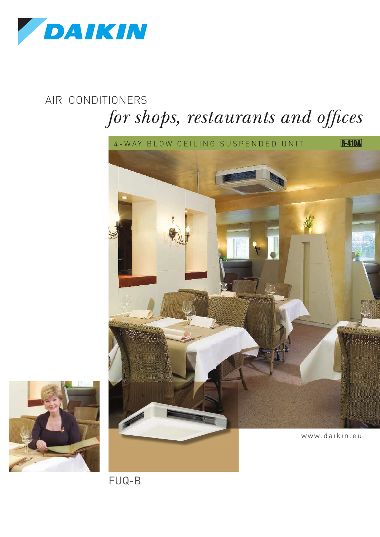

# $for$  *shops, restaurants and offices* AIR CONDITIONERS





FUQ-B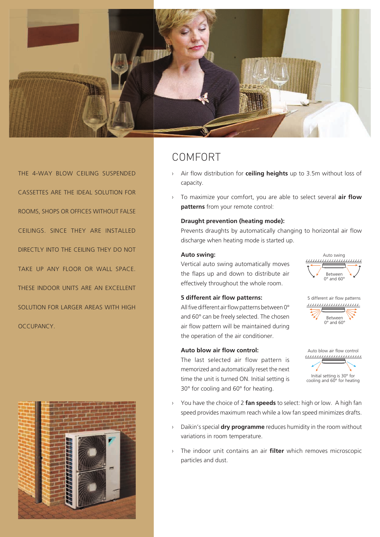

THE 4-WAY BLOW CEILING SUSPENDED CASSETTES ARE THE IDEAL SOLUTION FOR ROOMS, SHOPS OR OFFICES WITHOUT FALSE CEILINGS. SINCE THEY ARE INSTALLED DIRECTLY INTO THE CEILING THEY DO NOT TAKE UP ANY FLOOR OR WALL SPACE. THESE INDOOR UNITS ARE AN EXCELLENT SOLUTION FOR LARGER AREAS WITH HIGH **OCCUPANCY** 



# COMFORT

- Air flow distribution for **ceiling heights** up to 3.5m without loss of capacity. ›
- To maximize your comfort, you are able to select several **air flow patterns** from your remote control: ›

### **Draught prevention (heating mode):**

Prevents draughts by automatically changing to horizontal air flow discharge when heating mode is started up.

### **Auto swing:**

Vertical auto swing automatically moves the flaps up and down to distribute air effectively throughout the whole room.

#### **5 different air flow patterns:**

All five different air flow patterns between 0° and 60° can be freely selected. The chosen air flow pattern will be maintained during the operation of the air conditioner.

### **Auto blow air flow control:**

The last selected air flow pattern is memorized and automatically reset the next time the unit is turned ON. Initial setting is 30° for cooling and 60° for heating.

Between 0° and 60° Auto swing





- You have the choice of 2 **fan speeds** to select: high or low. A high fan speed provides maximum reach while a low fan speed minimizes drafts. ›
- Daikin's special **dry programme** reduces humidity in the room without variations in room temperature. ›
- The indoor unit contains an air **filter** which removes microscopic particles and dust. ›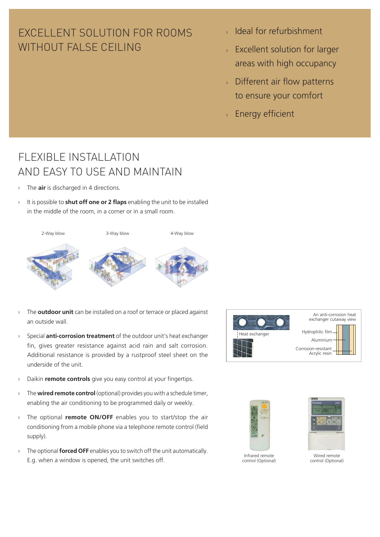# EXCELLENT SOLUTION FOR ROOMS WITHOUT FALSE CEILING

- $\rightarrow$  Ideal for refurbishment
- $\rightarrow$  Excellent solution for larger areas with high occupancy
- $\rightarrow$  Different air flow patterns to ensure your comfort
- Energy efficient ›

# FLEXIBLE INSTALLATION AND FASY TO USE AND MAINTAIN

- The **air** is discharged in 4 directions. ›
- It is possible to **shut off one or 2 flaps** enabling the unit to be installed in the middle of the room, in a corner or in a small room. ›



- The **outdoor unit** can be installed on a roof or terrace or placed against an outside wall. ›
- Special **anti-corrosion treatment** of the outdoor unit's heat exchanger fin, gives greater resistance against acid rain and salt corrosion. Additional resistance is provided by a rustproof steel sheet on the underside of the unit. ›



- Daikin **remote controls** give you easy control at your fingertips. ›
- The **wired remote control** (optional) provides you with a schedule timer, enabling the air conditioning to be programmed daily or weekly. ›
- The optional **remote ON/OFF** enables you to start/stop the air conditioning from a mobile phone via a telephone remote control (field supply). ›
- <sup>></sup> The optional **forced OFF** enables you to switch off the unit automatically.<br>
Wired remote E.g. when a window is opened, the unit switches off.



control (Optional)

control (Optional)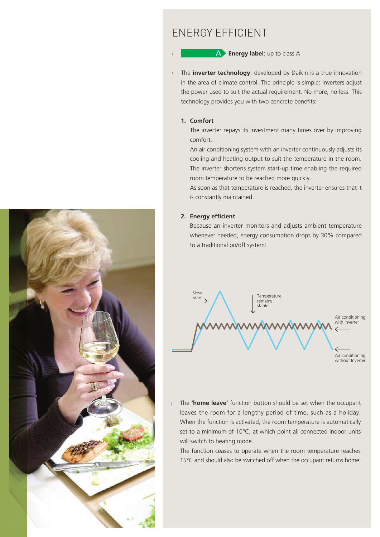# ENERGY EFFICIENT

**Energy label:** up to class A

The **inverter technology**, developed by Daikin is a true innovation in the area of climate control. The principle is simple: inverters adjust the power used to suit the actual requirement. No more, no less. This technology provides you with two concrete benefits: ›

#### **1. Comfort**

›

The inverter repays its investment many times over by improving comfort.

An air conditioning system with an inverter continuously adjusts its cooling and heating output to suit the temperature in the room. The inverter shortens system start-up time enabling the required room temperature to be reached more quickly.

As soon as that temperature is reached, the inverter ensures that it is constantly maintained.

#### **2. Energy efficient**

›

Because an inverter monitors and adjusts ambient temperature whenever needed, energy consumption drops by 30% compared to a traditional on/off system!



The **'home leave'** function button should be set when the occupant leaves the room for a lengthy period of time, such as a holiday. When the function is activated, the room temperature is automatically set to a minimum of 10°C, at which point all connected indoor units will switch to heating mode.

The function ceases to operate when the room temperature reaches 15°C and should also be switched off when the occupant returns home.



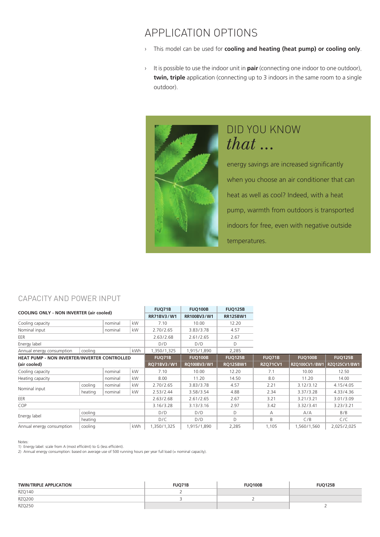# APPLICATION OPTIONS

- This model can be used for **cooling and heating (heat pump) or cooling only**. ›
- **It is possible to use the indoor unit in <b>pair** (connecting one indoor to one outdoor), **twin, triple** application (connecting up to 3 indoors in the same room to a single outdoor).



# DID YOU KNOW  $that...$

energy savings are increased significantly when you choose an air conditioner that can heat as well as cool? Indeed, with a heat pump, warmth from outdoors is transported indoors for free, even with negative outside temperatures.

### CAPACITY AND POWER INPUT

| <b>COOLING ONLY - NON INVERTER (air cooled)</b>     |                       |           | FUQ71B        | <b>FUQ100B</b> | <b>FUQ125B</b>  |                 |                |                |           |
|-----------------------------------------------------|-----------------------|-----------|---------------|----------------|-----------------|-----------------|----------------|----------------|-----------|
|                                                     |                       |           | RR71BV3/W1    | RR100BV3/W1    | <b>RR125BW1</b> |                 |                |                |           |
| kW<br>Cooling capacity<br>nominal                   |                       |           | 7.10          | 10.00          | 12.20           |                 |                |                |           |
| kW<br>Nominal input<br>nominal                      |                       | 2.70/2.65 | 3.83/3.78     | 4.57           |                 |                 |                |                |           |
| EER                                                 |                       |           | 2.63/2.68     | 2.61/2.65      | 2.67            |                 |                |                |           |
| Energy label                                        |                       |           |               | D/D            | D/D             | D               |                |                |           |
| Annual energy consumption                           | <b>kWh</b><br>cooling |           | 1,350/1,325   | 1,915/1,890    | 2,285           |                 |                |                |           |
| <b>HEAT PUMP - NON INVERTER/INVERTER CONTROLLED</b> |                       |           | <b>FUQ71B</b> | <b>FUQ100B</b> | <b>FUQ125B</b>  | <b>FUQ71B</b>   | <b>FUQ100B</b> | <b>FUQ125B</b> |           |
| (air cooled)                                        |                       |           | RQ71BV3/W1    | RQ100BV3/W1    | <b>RQ125BW1</b> | <b>RZQ71CV1</b> | RZQ100CV1/BW1  | RZQ125CV1/BW1  |           |
| Cooling capacity                                    |                       | nominal   | kW            | 7.10           | 10.00           | 12.20           | 7.1            | 10.00          | 12.50     |
| Heating capacity                                    |                       | nominal   | kW            | 8.00           | 11.20           | 14.50           | 8.0            | 11.20          | 14.00     |
| Nominal input                                       | cooling               | nominal   | kW            | 2.70/2.65      | 3.83/3.78       | 4.57            | 2.21           | 3.12/3.12      | 4.15/4.05 |
|                                                     | heating               | nominal   | kW            | 2.53/2.44      | 3.58/3.54       | 4.88            | 2.34           | 3.37/3.28      | 4.33/4.36 |
| EER                                                 |                       |           |               | 2.63/2.68      | 2.61/2.65       | 2.67            | 3.21           | 3.21/3.21      | 3.01/3.09 |
| COP                                                 |                       |           | 3.16/3.28     | 3.13/3.16      | 2.97            | 3.42            | 3.32/3.41      | 3.23/3.21      |           |
|                                                     | cooling               |           |               | D/D            | D/D             | D               | А              | A/A            | B/B       |
| Energy label                                        | heating               |           |               | D/C            | D/D             | D               | B              | C/B            | C/C       |
| Annual energy consumption                           | cooling<br>kWh        |           | 1,350/1,325   | 1,915/1,890    | 2,285           | 1,105           | 1,560/1,560    | 2,025/2,025    |           |

#### Notes:

1) Energy label: scale from A (most efficiënt) to G (less efficiënt). 2) Annual energy consumption: based on average use of 500 running hours per year full load (= nominal capacity).

| <b>TWIN/TRIPLE APPLICATION</b> | <b>FUO71B</b> | <b>FUO100B</b> | <b>FUQ125B</b> |
|--------------------------------|---------------|----------------|----------------|
| <b>RZQ140</b>                  |               |                |                |
| <b>RZQ200</b>                  |               |                |                |
| <b>RZQ250</b>                  |               |                |                |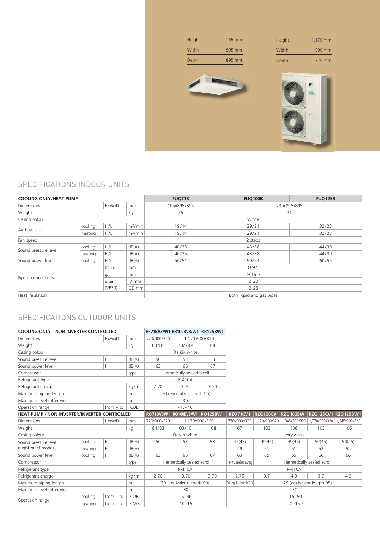| Height | 165 mm | Height | 1,170 mm |
|--------|--------|--------|----------|
| Width  | 895 mm | Width  | 900 mm   |
| Depth  | 895 mm | Depth  | 320 mm   |
|        |        |        | t.       |

# SPECIFICATIONS INDOOR UNITS

| <b>COOLING ONLY/HEAT PUMP</b>           |         |       |                     | <b>FUQ71B</b> | <b>FUQ100B</b>            |       |  |  |  |  |
|-----------------------------------------|---------|-------|---------------------|---------------|---------------------------|-------|--|--|--|--|
| <b>Dimensions</b><br><b>HxWxD</b><br>mm |         |       |                     | 165x895x895   | 230x895x895               |       |  |  |  |  |
| Weight<br>kg                            |         |       |                     | 25            | 31                        |       |  |  |  |  |
| Casing colour                           |         |       |                     |               | White                     |       |  |  |  |  |
| Air flow rate                           | cooling | H/L   | m <sup>3</sup> /min | 19/14         | 29/21                     | 32/23 |  |  |  |  |
|                                         | heating | H/L   | m <sup>3</sup> /min | 19/14         | 29/21                     | 32/23 |  |  |  |  |
| Fan speed                               |         |       |                     | 2 steps       |                           |       |  |  |  |  |
|                                         | cooling | H/L   | dB(A)               | 40/35         | 43/38                     | 44/39 |  |  |  |  |
| Sound pressure level                    | heating | H/L   | dB(A)               | 40/35         | 43/38                     | 44/39 |  |  |  |  |
| Sound power level                       | cooling | H/L   | dB(A)               | 56/51         | 59/54                     | 60/55 |  |  |  |  |
| liquid<br>mm                            |         |       |                     | Ø 9.5         |                           |       |  |  |  |  |
|                                         |         | gas   | mm                  | Ø 15.9        |                           |       |  |  |  |  |
| Piping connections                      |         | drain | ID mm               | Ø 20          |                           |       |  |  |  |  |
| (VP20)<br>OD mm                         |         |       |                     |               | Ø 26                      |       |  |  |  |  |
| Heat insulation                         |         |       |                     |               | Both liquid and gas pipes |       |  |  |  |  |

## SPECIFICATIONS OUTDOOR UNITS

| <b>COOLING ONLY - NON INVERTER CONTROLLED</b> |         |                |       | RR71BV3/W1 RR100BV3/W1 RR125BW1 |                            |                 |                                                  |               |               |                           |                                         |
|-----------------------------------------------|---------|----------------|-------|---------------------------------|----------------------------|-----------------|--------------------------------------------------|---------------|---------------|---------------------------|-----------------------------------------|
| <b>Dimensions</b>                             |         | <b>HxWxD</b>   | mm    | 770x900x320                     | 1,170x900x320              |                 |                                                  |               |               |                           |                                         |
| Weight                                        |         | kg             | 83/81 | 102/99                          | 106                        |                 |                                                  |               |               |                           |                                         |
| Casing colour                                 |         |                |       |                                 | Daikin white               |                 |                                                  |               |               |                           |                                         |
| Sound pressure level                          |         | H              | dB(A) | 50                              | 53                         | 53              |                                                  |               |               |                           |                                         |
| Sound power level                             |         | H              | dB(A) | 63                              | 66                         | 67              |                                                  |               |               |                           |                                         |
| Compressor                                    |         |                | type  |                                 | Hermetically sealed scroll |                 |                                                  |               |               |                           |                                         |
| Refrigerant type                              |         |                |       |                                 | R-410A                     |                 |                                                  |               |               |                           |                                         |
| Refrigerant charge                            |         |                | kg/m  | 2.70                            | 3.70                       | 3.70            |                                                  |               |               |                           |                                         |
| Maximum piping length                         |         |                | m     |                                 | 70 (equivalent length 90)  |                 |                                                  |               |               |                           |                                         |
| Maximum level difference                      |         |                | m     |                                 | 30                         |                 |                                                  |               |               |                           |                                         |
| from $\sim$ to<br>Operation range             |         | °CDB           |       | $-15 - 46$                      |                            |                 |                                                  |               |               |                           |                                         |
| HEAT PUMP - NON INVERTER/INVERTER CONTROLLED  |         |                |       | <b>RQ71BV3W1</b>                | <b>RQ100BV3/W1</b>         | <b>RQ125BW1</b> | <b>RZQ71CV1</b>                                  |               |               |                           | RZQ100CV1 RZQ100BW1 RZQ125CV1 RZQ125BW1 |
| <b>HxWxD</b><br>Dimensions                    |         |                | mm    | 770x900x320                     | 1,170x900x320              |                 | 770x900x320                                      | 1,170x900x320 | 1,345x900x320 | ,770x900x320              | 1.345x900x320                           |
| Weight                                        |         |                | kg    | 84/83<br>103/101<br>108         |                            | 67              | 103                                              | 106           | 103           | 106                       |                                         |
| Casing colour                                 |         |                |       | Daikin white                    |                            |                 | Ivory white                                      |               |               |                           |                                         |
| Sound pressure level                          | cooling | H              | dB(A) | 50                              | 53                         | 53              | 47(43)                                           | 49(45)        | 49(45)        | 50(45)                    | 50(45)                                  |
| (night quiet mode)                            | heating | H              | dB(A) | $\overline{\phantom{a}}$        |                            |                 | 49                                               | 51            | 51            | 52                        | 52                                      |
| Sound power level                             | cooling | H              | dB(A) | 63                              | 66                         | 67              | 63                                               | 65            | 65            | 66                        | 66                                      |
| Compressor                                    |         |                | type  |                                 | Hermetically sealed scroll |                 | Herm. sealed swing<br>Hermetically sealed scroll |               |               |                           |                                         |
| Refrigerant type                              |         |                |       | R-410A                          |                            |                 | R-410A                                           |               |               |                           |                                         |
| Refrigerant charge                            |         |                |       |                                 |                            |                 |                                                  |               |               |                           |                                         |
|                                               |         |                | kg/m  | 2.70                            | 3.70                       | 3.70            | 2.75                                             | 3.7           | 4.3           | 3.7                       | 4.3                                     |
| Maximum piping length                         |         |                | m     |                                 | 70 (equivalent length 90)  |                 | 50 (equiv. length 70)                            |               |               | 75 (equivalent length 95) |                                         |
| Maximum level difference                      |         |                | m     |                                 | 30                         |                 |                                                  |               | 30            |                           |                                         |
| Operation range                               | cooling | from $\sim$ to | °CDB  |                                 | $-5 - 46$                  |                 |                                                  |               | $-15 - 50$    |                           |                                         |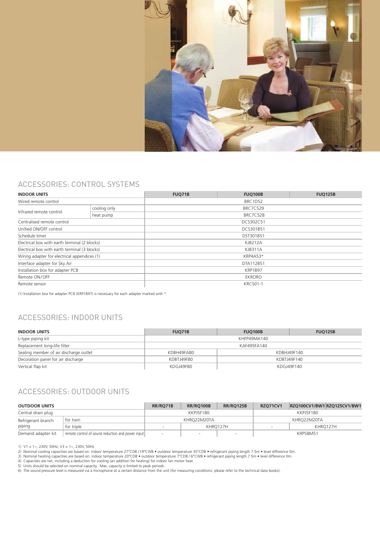

### ACCESSORIES: CONTROL SYSTEMS

| <b>INDOOR UNITS</b>                           |              | FUQ71B          | <b>FUQ100B</b>  |  |  |  |  |  |  |
|-----------------------------------------------|--------------|-----------------|-----------------|--|--|--|--|--|--|
| Wired remote control                          |              |                 | BRC1D52         |  |  |  |  |  |  |
|                                               | cooling only |                 |                 |  |  |  |  |  |  |
| Infrared remote control                       | heat pump    |                 | <b>BRC7C528</b> |  |  |  |  |  |  |
| Centralised remote control                    |              |                 | DCS302C51       |  |  |  |  |  |  |
| Unified ON/OFF control                        |              |                 | DCS301B51       |  |  |  |  |  |  |
| Schedule timer                                |              | DST301B51       |                 |  |  |  |  |  |  |
| Electrical box with earth terminal (2 blocks) |              | <b>KJB212A</b>  |                 |  |  |  |  |  |  |
| Electrical box with earth terminal (3 blocks) |              | <b>KJB311A</b>  |                 |  |  |  |  |  |  |
| Wiring adapter for electrical appendices (1)  |              | <b>KRP4A53*</b> |                 |  |  |  |  |  |  |
| Interface adapter for Sky Air                 |              | DTA112B51       |                 |  |  |  |  |  |  |
| Installation box for adapter PCB              |              | KRP1B97         |                 |  |  |  |  |  |  |
| Remote ON/OFF                                 |              | EKRORO          |                 |  |  |  |  |  |  |
| Remote sensor                                 |              | <b>KRCS01-1</b> |                 |  |  |  |  |  |  |

(1) Installation box for adapter PCB (KRP1B97) is necessary for each adapter marked with \*.

## ACCESSORIES: INDOOR UNITS

| <b>INDOOR UNITS</b>                    | <b>FUO71B</b>             | <b>FUQ100B</b> | <b>FUO125B</b> |  |  |
|----------------------------------------|---------------------------|----------------|----------------|--|--|
| L-type piping kit                      | KHFP49MA140               |                |                |  |  |
| Replacement long-life filter           | KAF495FA140               |                |                |  |  |
| Sealing member of air discharge outlet | KDBH49FA80<br>KDBHJ49F140 |                |                |  |  |
| Decoration panel for air discharge     | KDBTJ49F80                | KDBTJ49F140    |                |  |  |
| Vertical flap kit                      | KDGJ49F80<br>KDGJ49F140   |                |                |  |  |

## ACCESSORIES: OUTDOOR UNITS

| <b>OUTDOOR UNITS</b>                                                    |            | RR/RO71B                 | <b>RR/RO100B</b> | <b>RR/RO125B</b> | <b>RZO71CV1</b>  | RZQ100CV1/BW1 RZQ125CV1/BW1 |  |
|-------------------------------------------------------------------------|------------|--------------------------|------------------|------------------|------------------|-----------------------------|--|
| Central drain plug                                                      |            |                          | <b>KKPI5F180</b> |                  | <b>KKPI5F180</b> |                             |  |
| Refrigerant branch                                                      | for twin   | KHRO22M20TA              |                  |                  | KHRO22M20TA      |                             |  |
| piping                                                                  | for triple | KHRO127H                 |                  |                  |                  | KHRO127H                    |  |
| remote control of sound reduction and power input<br>Demand adapter kit |            | $\overline{\phantom{a}}$ |                  | $\sim$           |                  | <b>KRP58M51</b>             |  |

1) V1 = 1~, 230V, 50Hz; V3 = 1~, 230V, 50Hz<br>2) Nominal cooling capacities are based on: indoor temperature 27°CDB /19°CWB • outdoor temperature 35°CDB • refrigerant piping length 7.5m • level difference 0m.

3) Nominal heating capacities are based on: indoor temperature 20°CDB • outdoor temperature 7°CDB / 6°CWB • refrigerant piping length 7.5m • level difference 0m.<br>4) Capacities are net, including a deduction for cooling (a